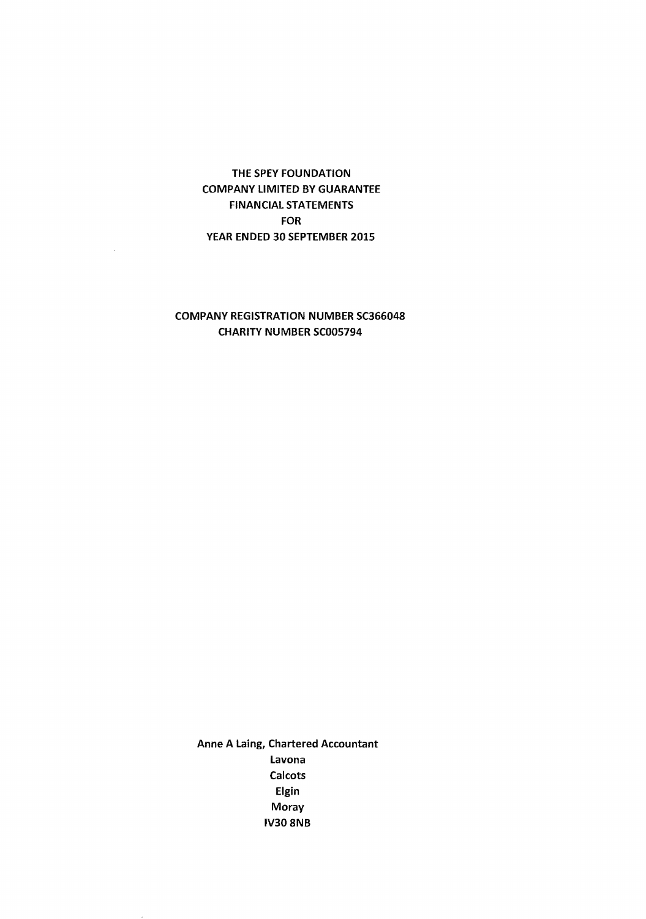# THE SPEY FOUNDATION COMPANY LIMITED BY GUARANTEE FINANCIAL STATEMENTS FOR YEAR ENDED 30 SEPTEMBER 2015

## COMPANY REGISTRATION NUMBER SC366048 CHARITY NUMBER SC005794

Anne A laing, Chartered Accountant lavona **Calcots** Elgin Moray IV30 8NB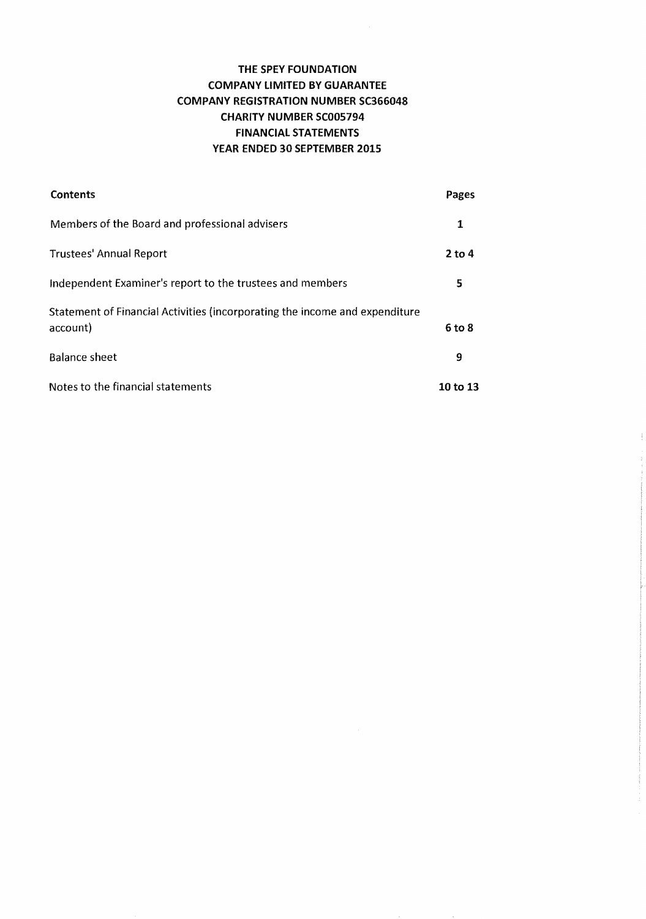$\mathcal{A}^{\mathcal{A}}$ 

| Contents                                                                                | Pages      |
|-----------------------------------------------------------------------------------------|------------|
| Members of the Board and professional advisers                                          | 1          |
| <b>Trustees' Annual Report</b>                                                          | $2$ to 4   |
| Independent Examiner's report to the trustees and members                               | 5          |
| Statement of Financial Activities (incorporating the income and expenditure<br>account) | $6$ to $8$ |
| <b>Balance sheet</b>                                                                    | 9          |
| Notes to the financial statements                                                       | 10 to 13   |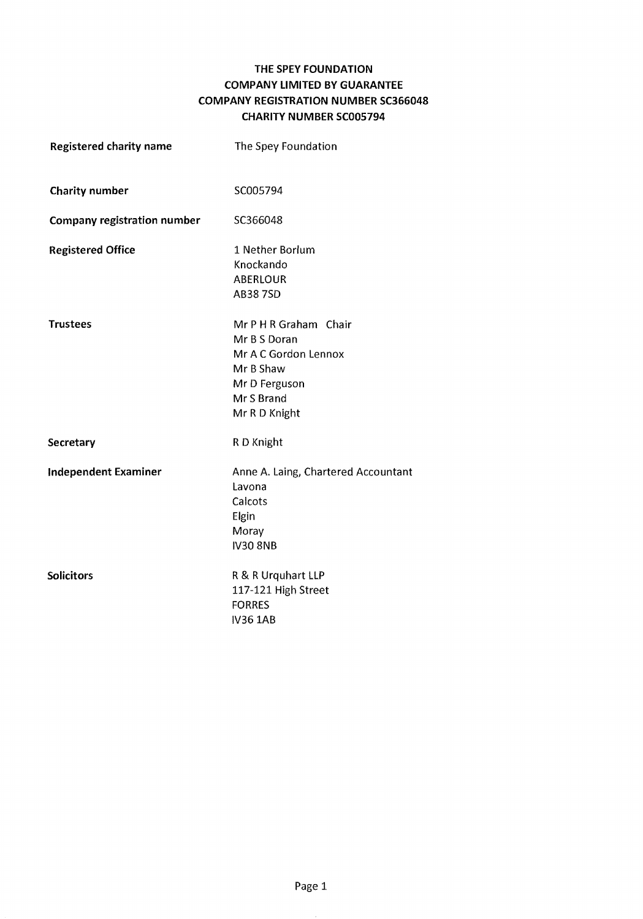# THE SPEY FOUNDATION COMPANY LIMITED BY GUARANTEE COMPANY REGISTRATION NUMBER SC366048 CHARITY NUMBER SC005794

| <b>Registered charity name</b>     | The Spey Foundation                                                                                                        |
|------------------------------------|----------------------------------------------------------------------------------------------------------------------------|
| <b>Charity number</b>              | SC005794                                                                                                                   |
| <b>Company registration number</b> | SC366048                                                                                                                   |
| <b>Registered Office</b>           | 1 Nether Borlum<br>Knockando<br><b>ABERLOUR</b><br><b>AB387SD</b>                                                          |
| <b>Trustees</b>                    | Mr P H R Graham Chair<br>Mr B S Doran<br>Mr A C Gordon Lennox<br>Mr B Shaw<br>Mr D Ferguson<br>Mr S Brand<br>Mr R D Knight |
| Secretary                          | R D Knight                                                                                                                 |
| <b>Independent Examiner</b>        | Anne A. Laing, Chartered Accountant<br>Lavona<br>Calcots<br>Elgin<br>Moray<br><b>IV30 8NB</b>                              |
| <b>Solicitors</b>                  | R & R Urquhart LLP<br>117-121 High Street<br><b>FORRES</b><br><b>IV36 1AB</b>                                              |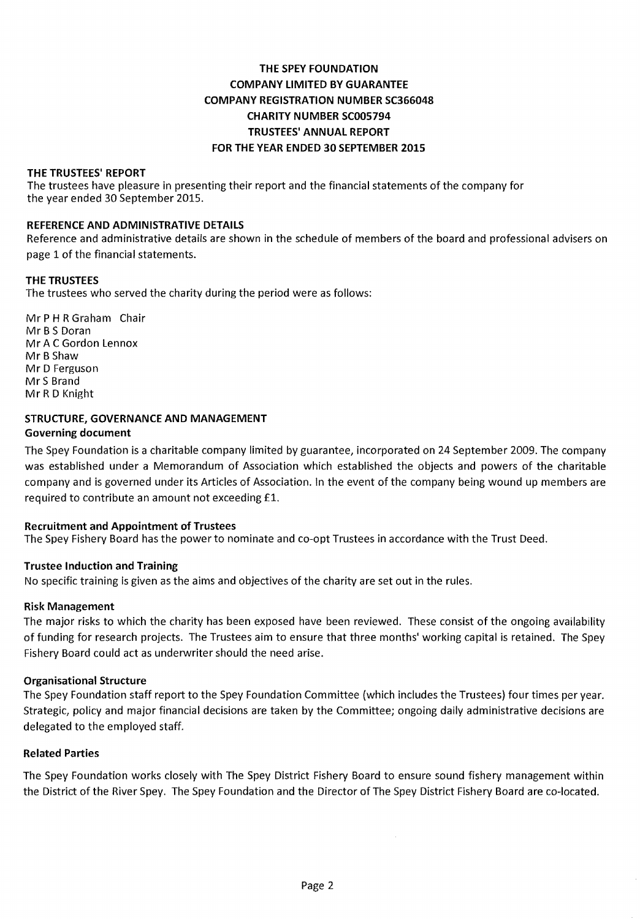## THE TRUSTEES' REPORT

 The trustees have pleasure in presenting their report and the financial statements of the company for the year ended 30 September 2015.

#### REFERENCE AND ADMINISTRATIVE DETAILS

Reference and administrative details are shown in the schedule of members of the board and professional advisers on page 1 of the financial statements.

#### THE TRUSTEES

The trustees who served the charity during the period were as follows:

Mr P H R Graham Chair Mr B S Doran Mr A C Gordon Lennox Mr B Shaw Mr D Ferguson Mr S Brand Mr R D Knight

#### STRUCTURE, GOVERNANCE AND MANAGEMENT Governing document

The Spey Foundation is a charitable company limited by guarantee, incorporated on 24 September 2009. The company was established under a Memorandum of Association which established the objects and powers of the charitable company and is governed under its Articles of Association. In the event of the company being wound up members are required to contribute an amount not exceeding £1.

## Recruitment and Appointment of Trustees

The Spey Fishery Board has the power to nominate and co-opt Trustees in accordance with the Trust Deed.

## Trustee Induction and Training

No specific training is given as the aims and objectives of the charity are set out in the rules.

#### Risk Management

The major risks to which the charity has been exposed have been reviewed. These consist of the ongoing availability of funding for research projects. The Trustees aim to ensure that three months' working capital is retained. The Spey Fishery Board could act as underwriter should the need arise.

#### Organisational Structure

The Spey Foundation staff report to the Spey Foundation Committee (which includes the Trustees) four times per year. Strategic, policy and major financial decisions are taken by the Committee; ongoing daily administrative decisions are delegated to the employed staff.

#### Related Parties

The Spey Foundation works closely with The Spey District Fishery Board to ensure sound fishery management within the District of the River Spey. The Spey Foundation and the Director of The Spey District Fishery Board are co-located.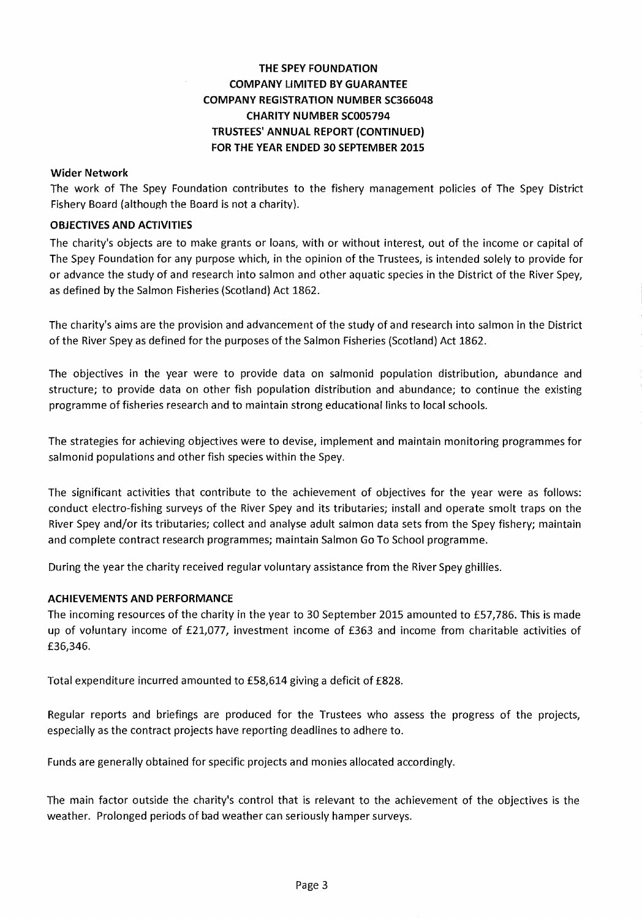# THE SPEY FOUNDATION COMPANY LIMITED BY GUARANTEE COMPANY REGISTRATION NUMBER SC366048 CHARITY NUMBER SC005794 TRUSTEES' ANNUAL REPORT (CONTINUED) FOR THE YEAR ENDED 30 SEPTEMBER 2015

## Wider Network

rhe work of rhe Spey Foundation contributes to the fishery management policies of The Spey District Fishery Board (although the Board is not a charity).

## OBJECTIVES AND ACTIVITIES

The charity's objects are to make grants or loans, with or without interest, out of the income or capital of The Spey Foundation for any purpose which, in the opinion of the Trustees, is intended solely to provide for or advance the study of and research into salmon and other aquatic species in the District of the River Spey, as defined by the Salmon Fisheries (Scotland) Act 1862.

The charity's aims are the provision and advancement of the study of and research into salmon in the District of the River Spey as defined for the purposes of the Salmon Fisheries (Scotland) Act 1862.

The objectives in the year were to provide data on salmonid population distribution, abundance and structure; to provide data on other fish population distribution and abundance; to continue the existing programme offisheries research and to maintain strong educational links to local schools.

The strategies for achieving objectives were to devise, implement and maintain monitoring programmes for salmonid populations and other fish species within the Spey.

The significant activities that contribute to the achievement of objectives for the year were as follows: conduct electro-fishing surveys of the River Spey and its tributaries; install and operate smolt traps on the River Spey and/or its tributaries; collect and analyse adult salmon data sets from the Spey fishery; maintain and complete contract research programmes; maintain Salmon Go To School programme.

During the year the charity received regular voluntary assistance from the River Spey ghillies.

#### ACHIEVEMENTS AND PERFORMANCE

The incoming resources of the charity in the year to 30 September 2015 amounted to £57,786. This is made up of voluntary income of £21,077, investment income of £363 and income from charitable activities of £36,346.

Total expenditure incurred amounted to £58,614 giving a deficit of £828.

Regular reports and briefings are produced for the Trustees who assess the progress of the projects, especially as the contract projects have reporting deadlines to adhere to.

Funds are generally obtained for specific projects and monies allocated accordingly.

The main factor outside the charity's control that is relevant to the achievement of the objectives is the weather. Prolonged periods of bad weather can seriously hamper surveys.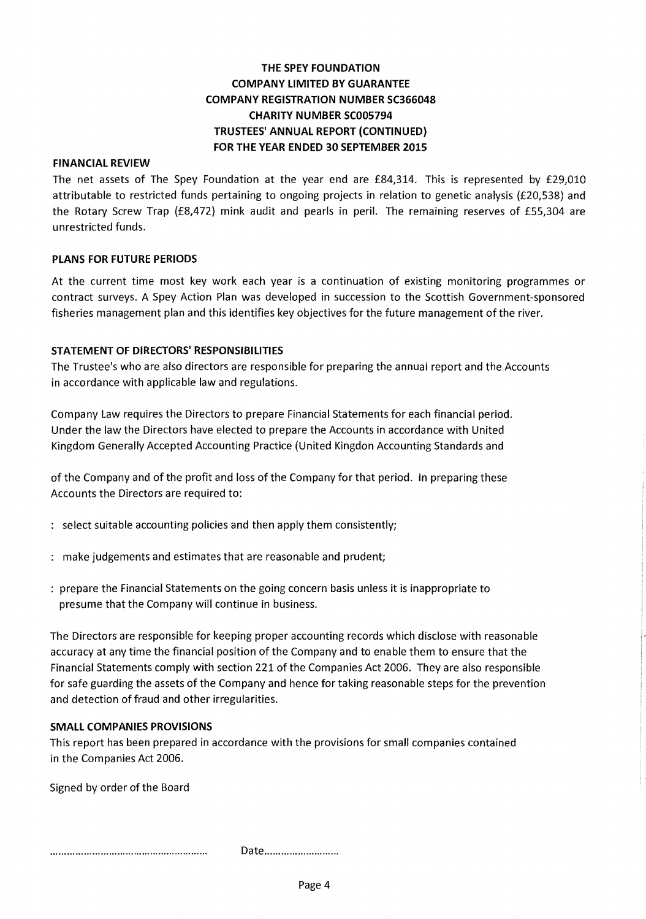# **THE SPEY FOllNDATION COMPANY LIMITED BY GUARANTEE COMPANY REGISTRATION NUMBER SC366048 CHARITY NUMBER SC005794 TRUSTEES' ANNUAL REPORT (CONTINUED) FOR THE YEAR ENDED 30 SEPTEMBER 2015**

## **FINANCIAL REVIEW**

The net assets of The Spey Foundation at the year end are £84,314. This is represented by £29,010 attributable to restricted funds pertaining to ongoing projects in relation to genetic analysis (£20,538) and the Rotary Screw Trap (£8,472) mink audit and pearls in peril. The remaining reserves of £55,304 are unrestricted funds.

#### **PLANS FOR FUTURE PERIODS**

At the current time most key work each year is a continuation of existing monitoring programmes or contract surveys. A Spey Action Plan was developed in succession to the Scottish Government-sponsored fisheries management plan and this identifies key objectives for the future management of the river.

#### **STATEMENT OF DIRECTORS' RESPONSIBILITIES**

The Trustee's who are also directors are responsible for preparing the annual report and the Accounts in accordance with applicable law and regulations.

Company Law requires the Directors to prepare Financial Statements for each financial period. Under the law the Directors have elected to prepare the Accounts in accordance with United Kingdom Generally Accepted Accounting Practice {United Kingdon Accounting Standards and

of the Company and of the profit and loss of the Company for that period. In preparing these Accounts the Directors are required to:

- select suitable accounting policies and then apply them consistently;
- make judgements and estimates that are reasonable and prudent;
- prepare the Financial Statements on the going concern basis unless it is inappropriate to presume that the Company will continue in business.

The Directors are responsible for keeping proper accounting records which disclose with reasonable accuracy at any time the financial position of the Company and to enable them to ensure that the Financial Statements comply with section 221 of the Companies Act 2006. They are also responsible for safe guarding the assets of the Company and hence for taking reasonable steps for the prevention and detection of fraud and other irregularities.

#### **SMALL COMPANIES PROVISIONS**

This report has been prepared in accordance with the provisions for small companies contained in the Companies Act 2006.

Signed by order of the Board

Date............................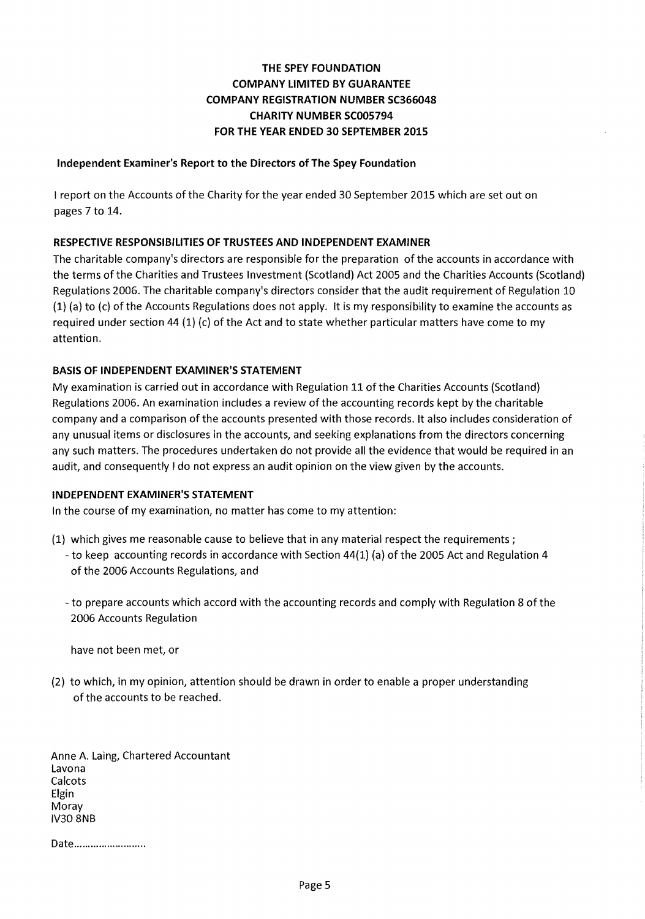## Independent Examiner's Report to the Directors of The Spey Foundation

I report on the Accounts of the Charity for the year ended 30 September 2015 which are set out on pages 7 to 14.

## RESPECTIVE RESPONSIBILITIES OF TRUSTEES AND INDEPENDENT EXAMINER

The charitable company's directors are responsible for the preparation of the accounts in accordance with the terms of the Charities and Trustees Investment (Scotland) Act 2005 and the Charities Accounts (Scotland) Regulations 2006. The charitable company's directors consider that the audit requirement of Regulation 10 (1) (a) to (c) of the Accounts Regulations does not apply. It is my responsibility to examine the accounts as required under section 44 (1) (c) of the Act and to state whether particular matters have come to my attention.

## BASIS OF INDEPENDENT EXAMINER'S STATEMENT

My examination is carried out in accordance with Regulation 11 of the Charities Accounts (Scotland) Regulations 2006. An examination includes a review of the accounting records kept by the charitable company and a comparison of the accounts presented with those records. It also includes consideration of any unusual items or disclosures in the accounts, and seeking explanations from the directors concerning any such matters. The procedures undertaken do not provide all the evidence that would be required in an audit, and consequently I do not express an audit opinion on the view given by the accounts.

## INDEPENDENT EXAMINER'S STATEMENT

In the course of my examination, no matter has come to my attention:

- (1) which gives me reasonable cause to believe that in any material respect the requirements;
	- to keep accounting records in accordance with Section 44(1) (a) of the 2005 Act and Regulation 4 of the 2006 Accounts Regulations, and
	- to prepare accounts which accord with the accounting records and comply with Regulation 8 of the 2006 Accounts Regulation

have not been met, or

(2) to which, in my opinion, attention should be drawn in order to enable a proper understanding of the accounts to be reached.

Anne A. Laing, Chartered Accountant Lavona Calcots Elgin Moray IV30 8NB

Date.........................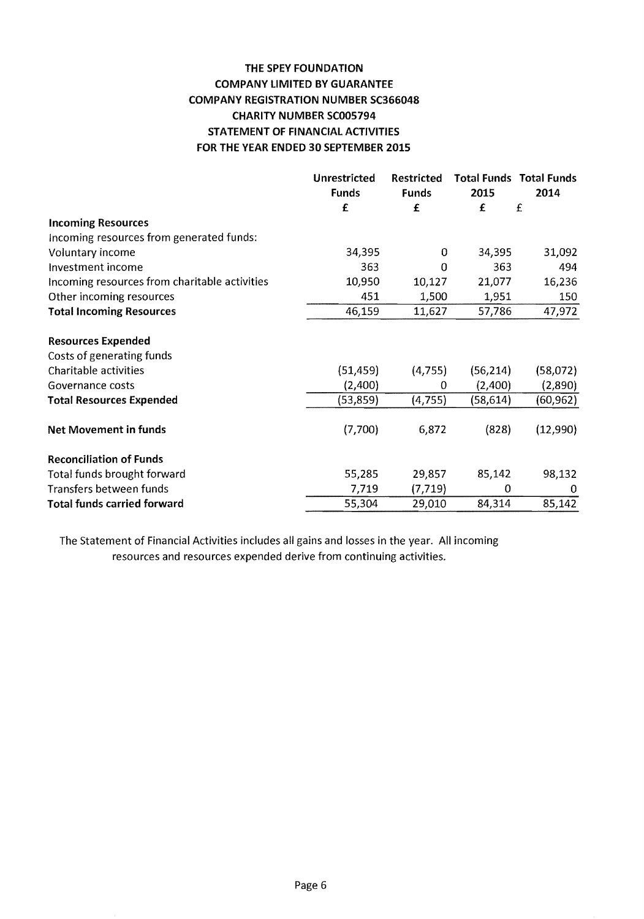# THE SPEY FOUNDATION COMPANY LIMITED BY GUARANTEE COMPANY REGISTRATION NUMBER SC366048 CHARITY NUMBER SC005794 STATEMENT OF FINANCIAL ACTIVITIES FOR THE YEAR ENDED 30 SEPTEMBER 2015

|                                               | Unrestricted | <b>Restricted</b> |           | <b>Total Funds Total Funds</b> |
|-----------------------------------------------|--------------|-------------------|-----------|--------------------------------|
|                                               | <b>Funds</b> | <b>Funds</b>      | 2015      | 2014                           |
|                                               | £            | £                 | £         | £                              |
| <b>Incoming Resources</b>                     |              |                   |           |                                |
| Incoming resources from generated funds:      |              |                   |           |                                |
| Voluntary income                              | 34,395       | 0                 | 34,395    | 31,092                         |
| Investment income                             | 363          | $\Omega$          | 363       | 494                            |
| Incoming resources from charitable activities | 10,950       | 10,127            | 21,077    | 16,236                         |
| Other incoming resources                      | 451          | 1,500             | 1,951     | 150                            |
| <b>Total Incoming Resources</b>               | 46,159       | 11,627            | 57,786    | 47,972                         |
| <b>Resources Expended</b>                     |              |                   |           |                                |
| Costs of generating funds                     |              |                   |           |                                |
| Charitable activities                         | (51, 459)    | (4,755)           | (56, 214) | (58,072)                       |
| Governance costs                              | (2,400)      | 0                 | (2,400)   | (2,890)                        |
| <b>Total Resources Expended</b>               | (53, 859)    | (4, 755)          | (58, 614) | (60,962)                       |
| <b>Net Movement in funds</b>                  | (7,700)      | 6,872             | (828)     | (12,990)                       |
| <b>Reconciliation of Funds</b>                |              |                   |           |                                |
| Total funds brought forward                   | 55,285       | 29,857            | 85,142    | 98,132                         |
| Transfers between funds                       | 7,719        | (7, 719)          | 0         | 0                              |
| <b>Total funds carried forward</b>            | 55,304       | 29,010            | 84,314    | 85,142                         |

The Statement of Financial Activities includes all gains and losses in the year. All incoming resources and resources expended derive from continuing activities.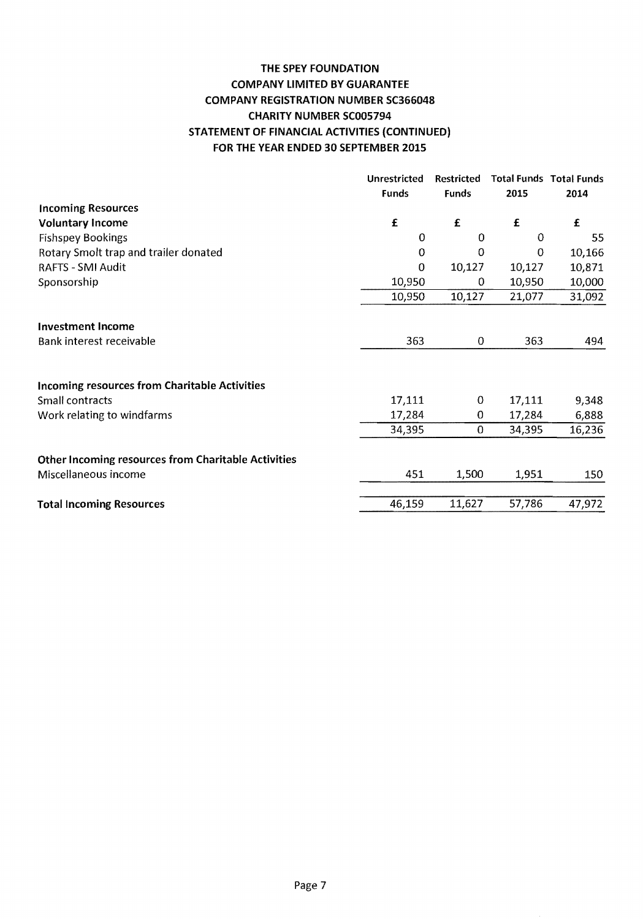# THE SPEY FOUNDATION COMPANY LIMITED BY GUARANTEE COMPANY REGISTRATION NUMBER SC366048 CHARITY NUMBER SC005794 STATEMENT OF FINANCIAL ACTIVITIES (CONTINUED) FOR THE YEAR ENDED 30 SEPTEMBER 2015

|                                                            | Unrestricted | <b>Restricted</b> |        | <b>Total Funds Total Funds</b> |
|------------------------------------------------------------|--------------|-------------------|--------|--------------------------------|
|                                                            | <b>Funds</b> | <b>Funds</b>      | 2015   | 2014                           |
| <b>Incoming Resources</b>                                  |              |                   |        |                                |
| <b>Voluntary Income</b>                                    | $\mathbf f$  | £                 | £      | £                              |
| <b>Fishspey Bookings</b>                                   | 0            | 0                 | 0      | 55                             |
| Rotary Smolt trap and trailer donated                      | 0            | $\mathbf 0$       | 0      | 10,166                         |
| <b>RAFTS - SMI Audit</b>                                   | 0            | 10,127            | 10,127 | 10,871                         |
| Sponsorship                                                | 10,950       | 0                 | 10,950 | 10,000                         |
|                                                            | 10,950       | 10,127            | 21,077 | 31,092                         |
|                                                            |              |                   |        |                                |
| <b>Investment Income</b>                                   |              |                   |        |                                |
| Bank interest receivable                                   | 363          | 0                 | 363    | 494                            |
|                                                            |              |                   |        |                                |
| <b>Incoming resources from Charitable Activities</b>       |              |                   |        |                                |
| Small contracts                                            | 17,111       | 0                 | 17,111 | 9,348                          |
| Work relating to windfarms                                 | 17,284       | $\bf{0}$          | 17,284 | 6,888                          |
|                                                            | 34,395       | $\mathbf 0$       | 34,395 | 16,236                         |
| <b>Other Incoming resources from Charitable Activities</b> |              |                   |        |                                |
| Miscellaneous income                                       | 451          | 1,500             | 1,951  | 150                            |
| <b>Total Incoming Resources</b>                            | 46,159       | 11,627            | 57,786 | 47,972                         |
|                                                            |              |                   |        |                                |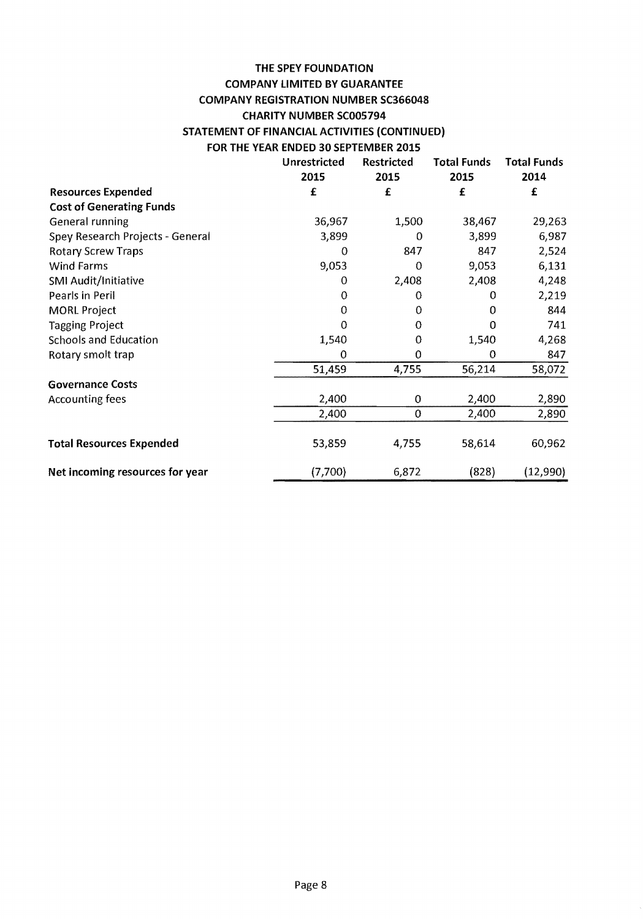# **THE SPEY FOUNDATION COMPANY LIMITED BY GUARANTEE COMPANY REGISTRATION NUMBER SC366048 CHARITY NUMBER SC005794 STATEMENT OF FINANCIAL ACTIVITIES (CONTINUED) FOR THE YEAR ENDED 30 SEPTEMBER 2015**

|                                  | Unrestricted<br>2015 | <b>Restricted</b><br>2015 | <b>Total Funds</b><br>2015 | <b>Total Funds</b><br>2014 |
|----------------------------------|----------------------|---------------------------|----------------------------|----------------------------|
| <b>Resources Expended</b>        | £                    | £                         | £                          | £                          |
| <b>Cost of Generating Funds</b>  |                      |                           |                            |                            |
| General running                  | 36,967               | 1,500                     | 38,467                     | 29,263                     |
| Spey Research Projects - General | 3,899                | 0                         | 3,899                      | 6,987                      |
| <b>Rotary Screw Traps</b>        | 0                    | 847                       | 847                        | 2,524                      |
| <b>Wind Farms</b>                | 9,053                | 0                         | 9,053                      | 6,131                      |
| SMI Audit/Initiative             | 0                    | 2,408                     | 2,408                      | 4,248                      |
| Pearls in Peril                  | 0                    | 0                         | 0                          | 2,219                      |
| <b>MORL Project</b>              | 0                    | 0                         | 0                          | 844                        |
| <b>Tagging Project</b>           | 0                    | 0                         | 0                          | 741                        |
| <b>Schools and Education</b>     | 1,540                | 0                         | 1,540                      | 4,268                      |
| Rotary smolt trap                | $\circ$              | 0                         | 0                          | 847                        |
|                                  | 51,459               | 4,755                     | 56,214                     | 58,072                     |
| <b>Governance Costs</b>          |                      |                           |                            |                            |
| <b>Accounting fees</b>           | 2,400                | 0                         | 2,400                      | 2,890                      |
|                                  | 2,400                | $\theta$                  | 2,400                      | 2,890                      |
| <b>Total Resources Expended</b>  | 53,859               | 4,755                     | 58,614                     | 60,962                     |
| Net incoming resources for year  | (7,700)              | 6,872                     | (828)                      | (12,990)                   |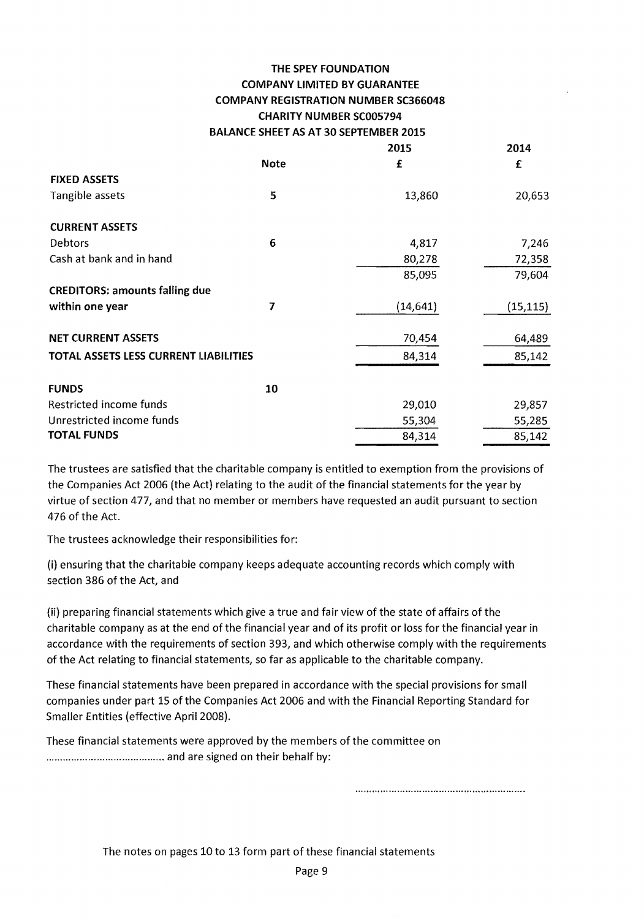|                                       |             | 2015      | 2014      |
|---------------------------------------|-------------|-----------|-----------|
|                                       | <b>Note</b> | £         | £         |
| <b>FIXED ASSETS</b>                   |             |           |           |
| Tangible assets                       | 5           | 13,860    | 20,653    |
| <b>CURRENT ASSETS</b>                 |             |           |           |
| Debtors                               | 6           | 4,817     | 7,246     |
| Cash at bank and in hand              |             | 80,278    | 72,358    |
|                                       |             | 85,095    | 79,604    |
| <b>CREDITORS: amounts falling due</b> |             |           |           |
| within one year                       | 7           | (14, 641) | (15, 115) |
| <b>NET CURRENT ASSETS</b>             |             | 70,454    | 64,489    |
| TOTAL ASSETS LESS CURRENT LIABILITIES |             | 84,314    | 85,142    |
| <b>FUNDS</b>                          | 10          |           |           |
| Restricted income funds               |             | 29,010    | 29,857    |
| Unrestricted income funds             |             | 55,304    | 55,285    |
| <b>TOTAL FUNDS</b>                    |             | 84,314    | 85,142    |
|                                       |             |           |           |

The trustees are satisfied that the charitable company is entitled to exemption from the provisions of the Companies Act 2006 (the Act) relating to the audit of the financial statements for the year by virtue of section 477, and that no member or members have requested an audit pursuant to section 476 of the Act.

The trustees acknowledge their responsibilities for:

(i) ensuring that the charitable company keeps adequate accounting records which comply with section 386 of the Act, and

(ii) preparing financial statements which give a true and fair view of the state of affairs of the charitable company as at the end of the financial year and of its profit or loss for the financial year in accordance with the requirements of section 393, and which otherwise comply with the requirements of the Act relating to financial statements, so far as applicable to the charitable company.

These financial statements have been prepared in accordance with the special provisions for small companies under part 15 of the Companies Act 2006 and with the Financial Reporting Standard for Smaller Entities (effective April 2008).

These financial statements were approved by the members of the committee on .......................................... and are signed on their behalf by:

The notes on pages 10 to 13 form part of these financial statements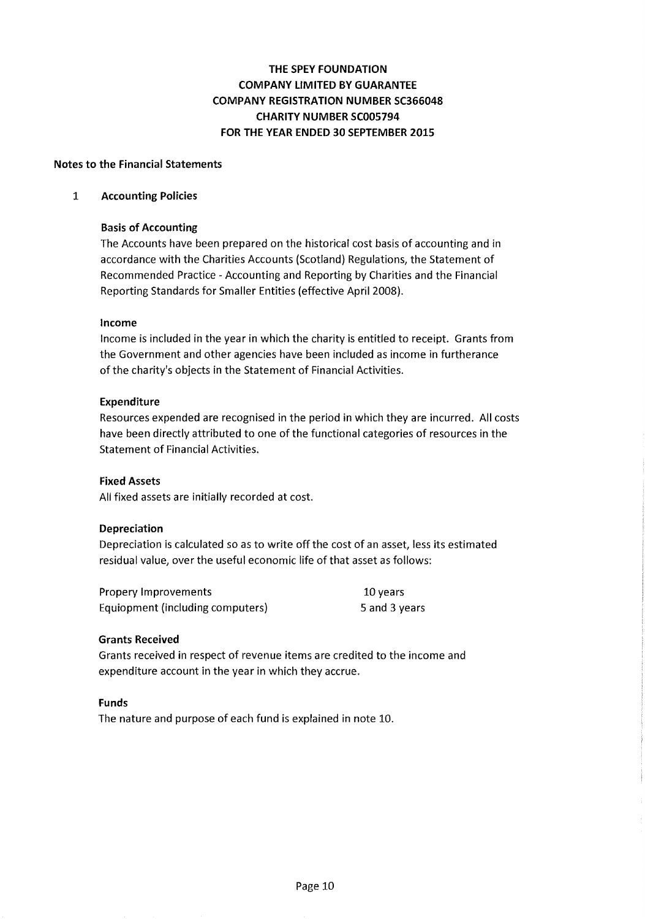## Notes to the Financial Statements

#### 1 Accounting Policies

## Basis of Accounting

The Accounts have been prepared on the historical cost basis of accounting and in accordance with the Charities Accounts (Scotland) Regulations, the Statement of Recommended Practice - Accounting and Reporting by Charities and the Financial Reporting Standards for Smaller Entities (effective April 2008).

## Income

Income is included in the year in which the charity is entitled to receipt. Grants from the Government and other agencies have been included as income in furtherance of the charity's objects in the Statement of Financial Activities.

## Expenditure

Resources expended are recognised in the period in which they are incurred. All costs have been directly attributed to one of the functional categories of resources in the Statement of Financial Activities.

## Fixed Assets

All fixed assets are initially recorded at cost.

## Depreciation

Depreciation is calculated so as to write off the cost of an asset, less its estimated residual value, over the useful economic life of that asset as follows:

| Propery Improvements             | 10 years      |
|----------------------------------|---------------|
| Equiopment (including computers) | 5 and 3 years |

#### Grants Received

Grants received in respect of revenue items are credited to the income and expenditure account in the year in which they accrue.

#### Funds

The nature and purpose of each fund is explained in note 10.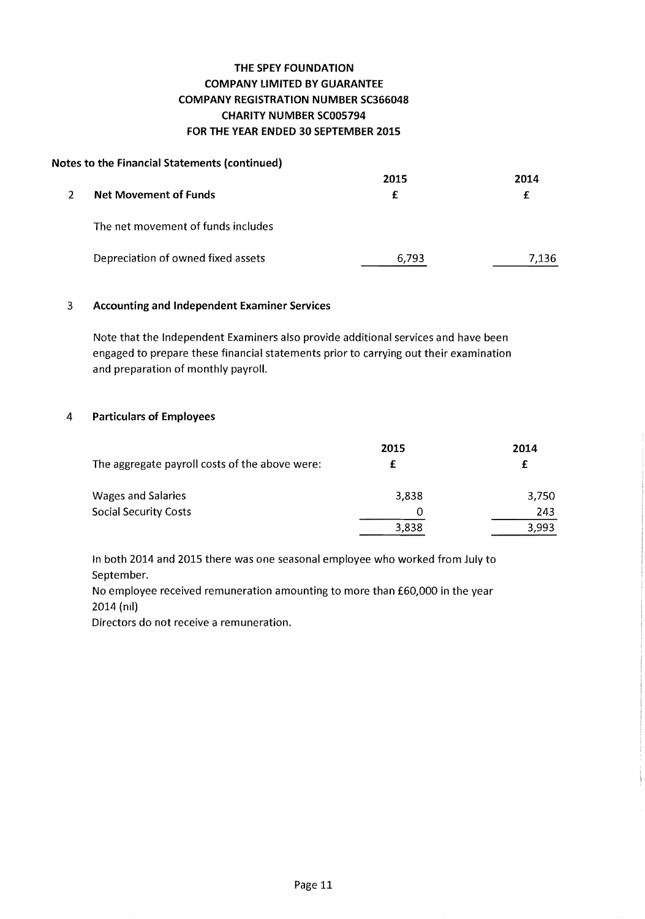## **Notes to the Financial Statements (continued)**

|   |                                    | 2015  | 2014  |
|---|------------------------------------|-------|-------|
| 2 | <b>Net Movement of Funds</b>       | f     | £     |
|   | The net movement of funds includes |       |       |
|   | Depreciation of owned fixed assets | 6.793 | 7.136 |

## 3 **Accounting and Independent Examiner Services**

Note that the Independent Examiners also provide additional services and have been engaged to prepare these financial statements prior to carrying out their examination and preparation of monthly payroll.

## **4 Particulars of Employees**

|                                                | 2015  | 2014  |
|------------------------------------------------|-------|-------|
| The aggregate payroll costs of the above were: |       |       |
| <b>Wages and Salaries</b>                      | 3,838 | 3.750 |
| <b>Social Security Costs</b>                   | 0     | 243   |
|                                                | 3,838 | 3,993 |

In both 2014 and 2015 there was one seasonal employee who worked from July to September.

No employee received remuneration amounting to more than £60,000 in the year 2014 (nil)

Directors do not receive a remuneration.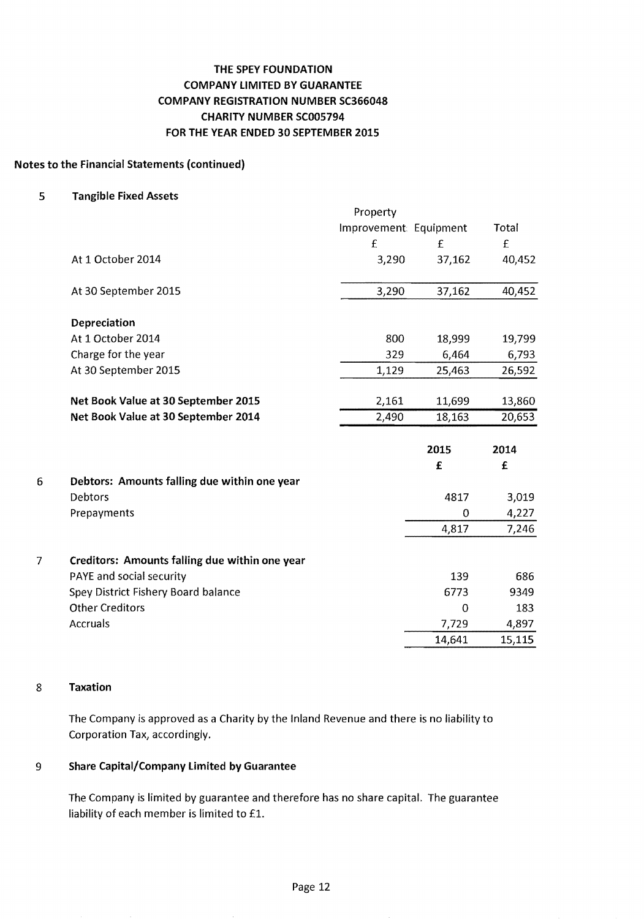## Notes to the Financial Statements (continued)

5 Tangible Fixed Assets

|   |                                                | Property               |          |             |
|---|------------------------------------------------|------------------------|----------|-------------|
|   |                                                | Improvement: Equipment |          | Total       |
|   |                                                | £                      | £        | $\mathbf f$ |
|   | At 1 October 2014                              | 3,290                  | 37,162   | 40,452      |
|   | At 30 September 2015                           | 3,290                  | 37,162   | 40,452      |
|   | Depreciation                                   |                        |          |             |
|   | At 1 October 2014                              | 800                    | 18,999   | 19,799      |
|   | Charge for the year                            | 329                    | 6,464    | 6,793       |
|   | At 30 September 2015                           | 1,129                  | 25,463   | 26,592      |
|   | Net Book Value at 30 September 2015            | 2,161                  | 11,699   | 13,860      |
|   | Net Book Value at 30 September 2014            | 2,490                  | 18,163   | 20,653      |
|   |                                                |                        | 2015     | 2014        |
|   |                                                |                        | £        | £           |
| 6 | Debtors: Amounts falling due within one year   |                        |          |             |
|   | Debtors                                        |                        | 4817     | 3,019       |
|   | Prepayments                                    |                        | $\Omega$ | 4,227       |
|   |                                                |                        | 4,817    | 7,246       |
| 7 | Creditors: Amounts falling due within one year |                        |          |             |
|   | PAYE and social security                       |                        | 139      | 686         |
|   | Spey District Fishery Board balance            |                        | 6773     | 9349        |
|   | <b>Other Creditors</b>                         |                        | 0        | 183         |
|   | <b>Accruals</b>                                |                        | 7,729    | 4,897       |
|   |                                                |                        | 14,641   | 15,115      |

## 8 Taxation

The Company is approved as a Charity by the Inland Revenue and there is no liability to Corporation Tax, accordingly.

## 9 Share Capital/Company Limited by Guarantee

The Company is limited by guarantee and therefore has no share capital. The guarantee liability of each member is limited to £1.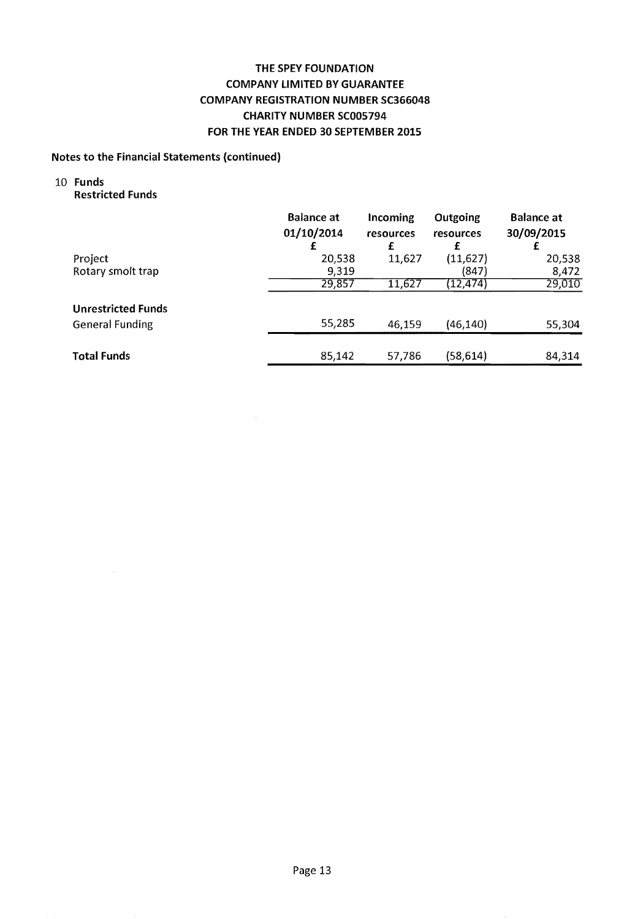## **Notes to the Financial Statements (continued)**

# 10 **Funds**

**Restricted Funds** 

|                           | <b>Balance at</b><br>01/10/2014 | Incoming<br>resources<br>£ | Outgoing<br>resources<br>£ | <b>Balance at</b><br>30/09/2015 |
|---------------------------|---------------------------------|----------------------------|----------------------------|---------------------------------|
| Project                   | 20,538                          | 11,627                     | (11, 627)                  | 20,538                          |
| Rotary smolt trap         | 9,319                           |                            | (847)                      | 8,472                           |
|                           | 29,857                          | 11,627                     | (12, 474)                  | 29,010                          |
| <b>Unrestricted Funds</b> |                                 |                            |                            |                                 |
| <b>General Funding</b>    | 55,285                          | 46,159                     | (46, 140)                  | 55,304                          |
|                           |                                 |                            |                            |                                 |
| <b>Total Funds</b>        | 85,142                          | 57,786                     | (58, 614)                  | 84,314                          |

 $\hat{\mathcal{A}}$